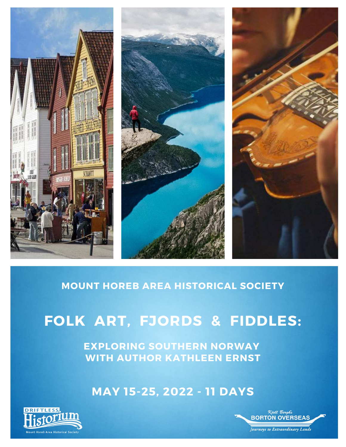

## **MOUNT HOREB AREA HISTORICAL SOCIETY**

# **FOLK ART, FJORDS & FIDDLES:**

**EXPLORING SOUTHERN NORWAY WITH AUTHOR KATHLEEN ERNST**

**MAY 15-25, 2022 - 11 DAYS**



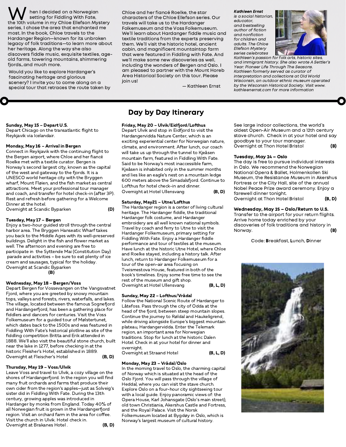**W** hen I decided on a Norwegian<br>the 10th volume in my Chloe Ellefson Mystery series, I chose the area that enchanted me most. In the book, Chloe travels to the Hardanger Region—known for its unbroken legacy of folk traditions—to learn more about her heritage. Along the way she also discovers fiddle music, exquisite textiles, ageold farms, towering mountains, shimmering fiords…and much more.

Would you like to explore Hardanger's fascinating heritage and glorious scenery? I invite you to come along on a special tour that retraces the route taken by

Chloe and her fiancé Roelke, the star characters of the Chloe Ellefson series. Our travels will take us to the Hardanger Folkemuseum and the Voss Folkemuseum. We'll learn about Hardanger fiddle music and textile traditions from the experts preserving them. We'll visit the historic hotel, ancient cabin, and magnificent mountaintop farm that were featured in Fiddling with Fate. And we'll make some new discoveries as well, including the wonders of Bergen and Oslo. I am pleased to partner with the Mount Horeb Area Historical Society on this tour. Please join us!

— Kathleen Ernst

#### Kathleen Ernst

is a social historian, educator, and bestselling author of fiction and nonfiction for children and adults. The Chloe Ellefson Mystery series celebrates



Kathleen's passion for folk arts, historic sites, and immigrant history. She also wrote A Settler's Year: Pioneer Life Through The Seasons. Kathleen formerly served as curator of interpretation and collections at Old World Wisconsin, an outdoor ethnic museum operated by the Wisconsin Historical Society. Visit www. kathleenernst.com for more information

#### Sunday, May <sup>15</sup> – Depart U.S.

Depart Chicago on the transatlantic flight to Reykjavik via Icelandair.

#### Monday, May <sup>16</sup> – Arrival in Bergen

Connect in Reykjavik with the continuing flight to the Bergen airport, where Chloe and her fiancé Roelke met with a textile curator. Bergen is Norway's second largest city, known as the capital of the west and gateway to the fjords. It is a UNESCO world heritage city with the Bryggen wharf, Mount Fløien, and the fish market as central attractions. Meet your professional tour manager and coach, and transfer for hotel check-in (after 3P). Rest and refresh before gathering for a Welcome Dinner at the hotel.

Overnight at Scandic Byparken (D)

#### Tuesday, May <sup>17</sup> – Bergen

Enjoy a two-hour guided stroll through the central harbor area. The Bryggen Hanseatic Wharf takes you back to the Middle Ages with its well-preserved buildings. Delight in the fish and flower market as well. The afternoon and evening are free to participate in the Syttende Mai (Constitution Day) parade and activities – be sure to eat plenty of ice cream and sausages, typical for the holiday. Overnight at Scandic Byparken

#### (B)

#### Wednesday, May <sup>18</sup> – Bergen/Voss

Depart Bergen for Vossevangen on the Vangsvatnet Fjord, where you are greeted by snowy mountain tops, valleys and forests, rivers, waterfalls, and lakes. The village, located between the famous Sognefjord and Hardangerfjord, has been a gathering place for fiddlers and dancers for centuries. Visit the Voss Folkemuseum for a guided tour of Mølstertunet, which dates back to the 1500s and was featured in Fiddling With Fate's historical plotline as site of the fiddling competition Britta and Erik attended in 1888. We'll also visit the beautiful stone church, built near the lake in 1277, before checking in at the historic Fleisher's Hotel, established in 1889. Overnight at Fleischer's Hotel (B, D)

#### Thursday, May <sup>19</sup> – Voss/Ulvik

Leave Voss and travel to Ulvik, a cozy village on the shores of Hardangerfjord. In the region you will find many fruit orchards and farms that produce their own cider from the region's apples—just as Solveig's sister did in Fiddling With Fate. During the 13th century, growing apples was introduced in Hardanger by monks from England. Today 40% of all Norwegian fruit is grown in the Hardangerfjord region. Visit an orchard farm in the area for coffee. Visit the church in Ulvik. Hotel check in. Overnight at Brakanes Hotel . (B, D) Day by Day Itinerary

Friday, May <sup>20</sup> – Ulvik/Eidfjord/Lofthus Depart Ulvik and stop in Eidfjord to visit the Hardangervidda Nature Center, which is an exciting experiential center for Norwegian nature, climate, and environment. After lunch, our coach will take us up through the tunnel to Kjeåsen mountain farm, featured in Fiddling With Fate. Said to be Norway's most inaccessible farm, Kjeåsen is inhabited only in the summer months and lies like an eagle's nest on a mountain ledge 600 meters above the Simadalsfjord. Continue to Lofthus for hotel check-in and dinner. Overnight at Hotel Ullensvang (B, D)

#### Saturday, May21 – Utne/Lofthus

The Hardanger region is a center of living cultural heritage. The Hardanger fiddle, the traditional Hardanger folk costume, and Hardanger embroidery are all well known national symbols. Travel by coach and ferry to Utne to visit the Hardanger Folkemuseum, primary setting for Fiddling With Fate. Enjoy a Hardanger fiddle performance and tour of textiles at the museum. Have lunch at the historic Utne Hotel, where Chloe and Roelke stayed, including a history talk. After lunch, return to Hardanger Folkemuseum for a tour of the open-air area focusing on Tveismestova House, featured in both of the book's timelines. Enjoy some free time to see the rest of the museum and gift shop. Overnight at Hotel Ullensvang (B, L, D)

#### Sunday, May <sup>22</sup> – Lofthus/Vrådal

Follow the National Scenic Route of Hardanger to Låtefoss. Pass through the city of Odda at the head of the fjord, between steep mountain slopes. Continue the journey to Røldal and Haukeligrend, while driving alongside Europe's biggest mountain plateau, Hardangervidda. Enter the Telemark region, an important area for Norwegian traditions. Stop for lunch at the historic Dalen Hotel. Check in at your hotel for dinner and overnight. Overnight at Straand Hotel (B, L, D)

#### Monday, May <sup>23</sup> – Vrådal/Oslo

In the morning travel to Oslo, the charming capital of Norway which is situated at the head of the Oslo Fjord. You will pass through the village of Heddal, where you can visit the stave church. Explore Oslo on a four-hour city sightseeing tour with a local guide. Enjoy panoramic views of: the Opera House, Karl Johansgate (Oslo's main street), old town Christiania, Akershus Castle and Fortress, and the Royal Palace. Visit the Norsk Folkemuseum located at Bygdøy in Oslo, which is Norway's largest museum of cultural history.

See large indoor collections, the world's oldest Open-Air Museum and a 12th century stave church. Check in at your hotel and say goodbye to your tour manager. Overnight at Thon Hotel Bristol (B)

#### Tuesday, May 24 – Oslo

The day is free to pursue individual interests in Oslo. We recommend the Norwegian National Opera & Ballet, Holmenkollen Ski Museum, the Resistance Museum in Akershus Fortress or the City Hall, site of the annual Nobel Peace Prize award ceremony. Enjoy a farewell dinner tonight. Overnight at Thon Hotel Bristol (B, D)

#### Wednesday, May 25 – Oslo/Return to U.S.

Transfer to the airport for your return flights. Arrive home today enriched by your discoveries of folk traditions and history in Norway. (B)

Code: Breakfast, Lunch, Dinner

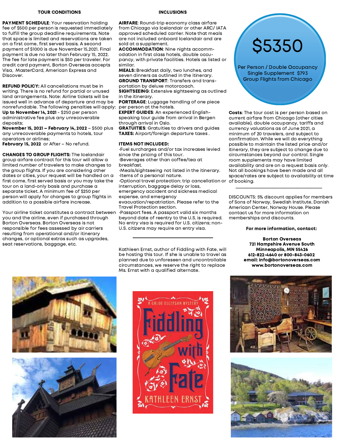#### TOUR CONDITIONS

PAYMENT SCHEDULE: Your reservation holding fee of \$500 per person is requested immediately to fulfill the group deadline requirements. Note that space is limited and reservations are taken on a first come, first served basis. A second payment of \$1000 is due November 15,2021. Final payment is due no later than February 15, 2022. The fee for late payment is \$50 per traveler. For credit card payment, Borton Overseas accepts Visa, MasterCard, American Express and Discover.

REFUND POLICY: All cancellations must be in writing. There is no refund for partial or unused land arrangements. Note: Airline tickets will be issued well in advance of departure and may be nonrefundable. The following penalties will apply: Up to November 14, 2021 - \$250 per person administrative fee plus any unrecoverable deposits;

November 15, 2021 – February 14, 2022 – \$500 plus any unrecoverable payments to hotels, tour operators or airlines;

February 15, 2022 or After - No refund.

CHANGES TO GROUP FLIGHTS: The Icelandair group airfare contract for this tour will allow a limited number of travelers to make changes to the group flights. If you are considering other dates or cities, your request will be handled on a first come, first served basis or you may take the tour on a land-only basis and purchase a separate ticket. A minimum fee of \$250 per person will apply for changes to group flights in addition to a possible airfare increase.

Your airline ticket constitutes a contract between you and the airline, even if purchased through Borton Overseas. Borton Overseas is not responsible for fees assessed by air carriers resulting from operational and/or itinerary changes, or optional extras such as upgrades, seat reservations, baggage, etc.

#### INCLUSIONS

AIRFARE: Round-trip economy class airfare from Chicago via Icelandair or other ARC/ IATA approved scheduled carrier. Note that meals are not included onboard Icelandair and are sold at a supplement.

ACCOMMODATION: Nine nights accommodation in first class hotels, double occupancy, with private facilities. Hotels as listed or similar.

MEALS: Breakfast daily, two lunches, and seven dinners as outlined in the itinerary. GROUND TRANSPORT: Transfers and transportation by deluxe motorcoach.

SIGHTSEEING: Extensive sightseeing as outlined in the itinerary.

PORTERAGE: Luggage handling of one piece per person at the hotels.

EXPERT GUIDES: An experienced Englishspeaking tour guide from arrival in Bergen through arrival in Oslo.

GRATUITIES: Gratuities to drivers and guides TAXES: Airport/foreign departure taxes .

#### ITEMS NOT INCLUDED:

•Fuel surcharges and/or tax increases levied since the pricing of this tour. •Beverages other than coffee/tea at breakfast.

•Meals/sightseeing not listed in the itinerary. •Items of a personal nature.

•Optional travel protection: trip cancellation or interruption, baggage delay or loss, emergency accident and sickness medical

expense, and emergency evacuation/repatriation. Please refer to the

Travel Protection section. •Passport fees. A passport valid six months

beyond date of reentry to the U.S. is required. No entry visa is required for U.S. citizens; non-U.S. citizens may require an entry visa.

Kathleen Ernst, author of Fiddling with Fate, will be hosting this tour. If she is unable to travel as planned due to unforeseen and uncontrollable circumstances, we reserve the right to replace Ms. Ernst with a qualified alternate.

\$5350

Per Person / Double Occupancy Single Supplement \$793 Group Flights from Chicago

Costs: The tour cost is per person based on current airfare from Chicago (other cities available), double occupancy, tariffs and currency valuations as of June 2021, a minimum of 20 travelers, and subject to confirmation. While we will do everything possible to maintain the listed price and/or itinerary, they are subject to change due to circumstances beyond our control. Single room supplements may have limited availability and are on a request basis only. Not all bookings have been made and all space/rates are subject to availability at time of booking.

DISCOUNTS: 5% discount applies for members of Sons of Norway, Swedish Institute, Danish American Center, Norway House. Please contact us for more information on memberships and discounts.

\_\_\_\_\_\_\_\_\_\_\_\_\_\_\_\_\_\_\_\_\_\_\_\_\_\_\_\_\_\_\_\_\_\_\_\_\_

#### For more information, contact:

Borton Overseas 721 Hampshire Avenue South Minneapolis, MN 55426 612-822-4640 or 800-843-0602 email: info@bortonoverseas.com www.bortonoverseas.com